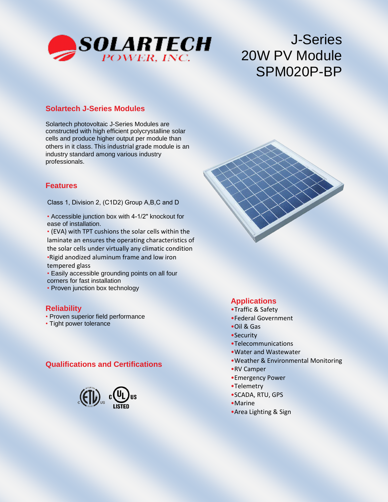

# J-Series 20W PV Module SPM020P-BP

## **Solartech J-Series Modules**

Solartech photovoltaic J-Series Modules are constructed with high efficient polycrystalline solar cells and produce higher output per module than others in it class. This industrial grade module is an industry standard among various industry professionals.

#### **Features**

Class 1, Division 2, (C1D2) Group A,B,C and D

• Accessible junction box with 4-1/2" knockout for ease of installation.

• (EVA) with TPT cushions the solar cells within the laminate an ensures the operating characteristics of the solar cells under virtually any climatic condition •Rigid anodized aluminum frame and low iron tempered glass

• Easily accessible grounding points on all four corners for fast installation

• Proven junction box technology

#### **Reliability**

- Proven superior field performance
- Tight power tolerance

#### **Qualifications and Certifications**



# **Applications**

- •Traffic & Safety
- •Federal Government
- •Oil & Gas
- •Security
- •Telecommunications
- •Water and Wastewater
- •Weather & Environmental Monitoring
- •RV Camper
- •Emergency Power
- •Telemetry
- •SCADA, RTU, GPS
- •Marine
- •Area Lighting & Sign